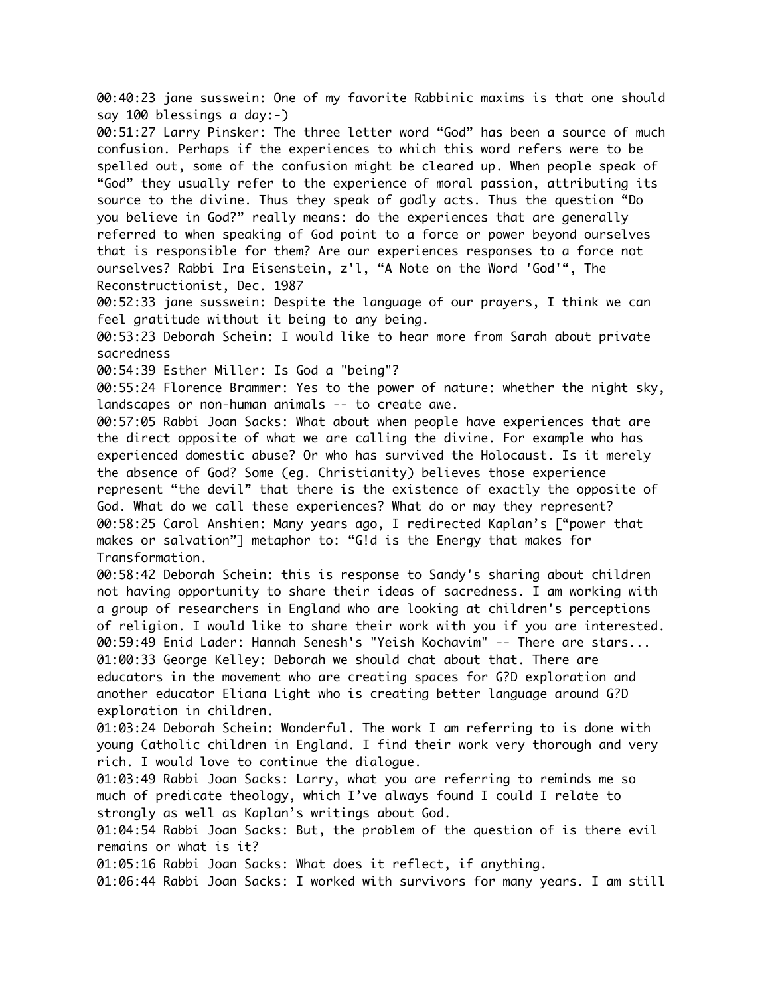00:40:23 jane susswein: One of my favorite Rabbinic maxims is that one should say 100 blessings a day:-)

00:51:27 Larry Pinsker: The three letter word "God" has been a source of much confusion. Perhaps if the experiences to which this word refers were to be spelled out, some of the confusion might be cleared up. When people speak of "God" they usually refer to the experience of moral passion, attributing its source to the divine. Thus they speak of godly acts. Thus the question "Do you believe in God?" really means: do the experiences that are generally referred to when speaking of God point to a force or power beyond ourselves that is responsible for them? Are our experiences responses to a force not ourselves? Rabbi Ira Eisenstein, z'l, "A Note on the Word 'God'", The Reconstructionist, Dec. 1987

00:52:33 jane susswein: Despite the language of our prayers, I think we can feel gratitude without it being to any being.

00:53:23 Deborah Schein: I would like to hear more from Sarah about private sacredness

00:54:39 Esther Miller: Is God a "being"?

00:55:24 Florence Brammer: Yes to the power of nature: whether the night sky, landscapes or non-human animals -- to create awe.

00:57:05 Rabbi Joan Sacks: What about when people have experiences that are the direct opposite of what we are calling the divine. For example who has experienced domestic abuse? Or who has survived the Holocaust. Is it merely the absence of God? Some (eg. Christianity) believes those experience represent "the devil" that there is the existence of exactly the opposite of God. What do we call these experiences? What do or may they represent? 00:58:25 Carol Anshien: Many years ago, I redirected Kaplan's ["power that makes or salvation"] metaphor to: "G!d is the Energy that makes for Transformation.

00:58:42 Deborah Schein: this is response to Sandy's sharing about children not having opportunity to share their ideas of sacredness. I am working with a group of researchers in England who are looking at children's perceptions of religion. I would like to share their work with you if you are interested. 00:59:49 Enid Lader: Hannah Senesh's "Yeish Kochavim" -- There are stars... 01:00:33 George Kelley: Deborah we should chat about that. There are educators in the movement who are creating spaces for G?D exploration and another educator Eliana Light who is creating better language around G?D exploration in children.

01:03:24 Deborah Schein: Wonderful. The work I am referring to is done with young Catholic children in England. I find their work very thorough and very rich. I would love to continue the dialogue.

01:03:49 Rabbi Joan Sacks: Larry, what you are referring to reminds me so much of predicate theology, which I've always found I could I relate to strongly as well as Kaplan's writings about God.

01:04:54 Rabbi Joan Sacks: But, the problem of the question of is there evil remains or what is it?

01:05:16 Rabbi Joan Sacks: What does it reflect, if anything.

01:06:44 Rabbi Joan Sacks: I worked with survivors for many years. I am still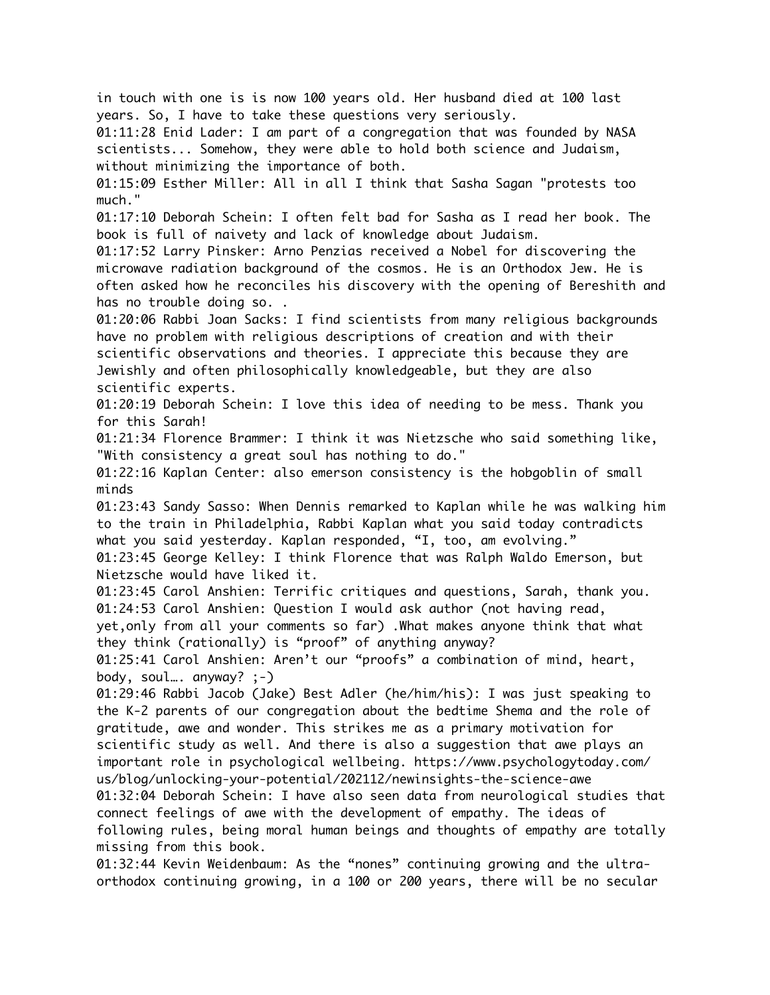in touch with one is is now 100 years old. Her husband died at 100 last years. So, I have to take these questions very seriously. 01:11:28 Enid Lader: I am part of a congregation that was founded by NASA scientists... Somehow, they were able to hold both science and Judaism, without minimizing the importance of both. 01:15:09 Esther Miller: All in all I think that Sasha Sagan "protests too much." 01:17:10 Deborah Schein: I often felt bad for Sasha as I read her book. The book is full of naivety and lack of knowledge about Judaism. 01:17:52 Larry Pinsker: Arno Penzias received a Nobel for discovering the microwave radiation background of the cosmos. He is an Orthodox Jew. He is often asked how he reconciles his discovery with the opening of Bereshith and has no trouble doing so. . 01:20:06 Rabbi Joan Sacks: I find scientists from many religious backgrounds have no problem with religious descriptions of creation and with their scientific observations and theories. I appreciate this because they are Jewishly and often philosophically knowledgeable, but they are also scientific experts. 01:20:19 Deborah Schein: I love this idea of needing to be mess. Thank you for this Sarah! 01:21:34 Florence Brammer: I think it was Nietzsche who said something like, "With consistency a great soul has nothing to do." 01:22:16 Kaplan Center: also emerson consistency is the hobgoblin of small minds 01:23:43 Sandy Sasso: When Dennis remarked to Kaplan while he was walking him to the train in Philadelphia, Rabbi Kaplan what you said today contradicts what you said yesterday. Kaplan responded, "I, too, am evolving." 01:23:45 George Kelley: I think Florence that was Ralph Waldo Emerson, but Nietzsche would have liked it. 01:23:45 Carol Anshien: Terrific critiques and questions, Sarah, thank you. 01:24:53 Carol Anshien: Question I would ask author (not having read, yet,only from all your comments so far) .What makes anyone think that what they think (rationally) is "proof" of anything anyway? 01:25:41 Carol Anshien: Aren't our "proofs" a combination of mind, heart, body, soul…. anyway? ;-) 01:29:46 Rabbi Jacob (Jake) Best Adler (he/him/his): I was just speaking to the K-2 parents of our congregation about the bedtime Shema and the role of gratitude, awe and wonder. This strikes me as a primary motivation for scientific study as well. And there is also a suggestion that awe plays an important role in psychological wellbeing. https://www.psychologytoday.com/ us/blog/unlocking-your-potential/202112/newinsights-the-science-awe 01:32:04 Deborah Schein: I have also seen data from neurological studies that connect feelings of awe with the development of empathy. The ideas of following rules, being moral human beings and thoughts of empathy are totally missing from this book. 01:32:44 Kevin Weidenbaum: As the "nones" continuing growing and the ultraorthodox continuing growing, in a 100 or 200 years, there will be no secular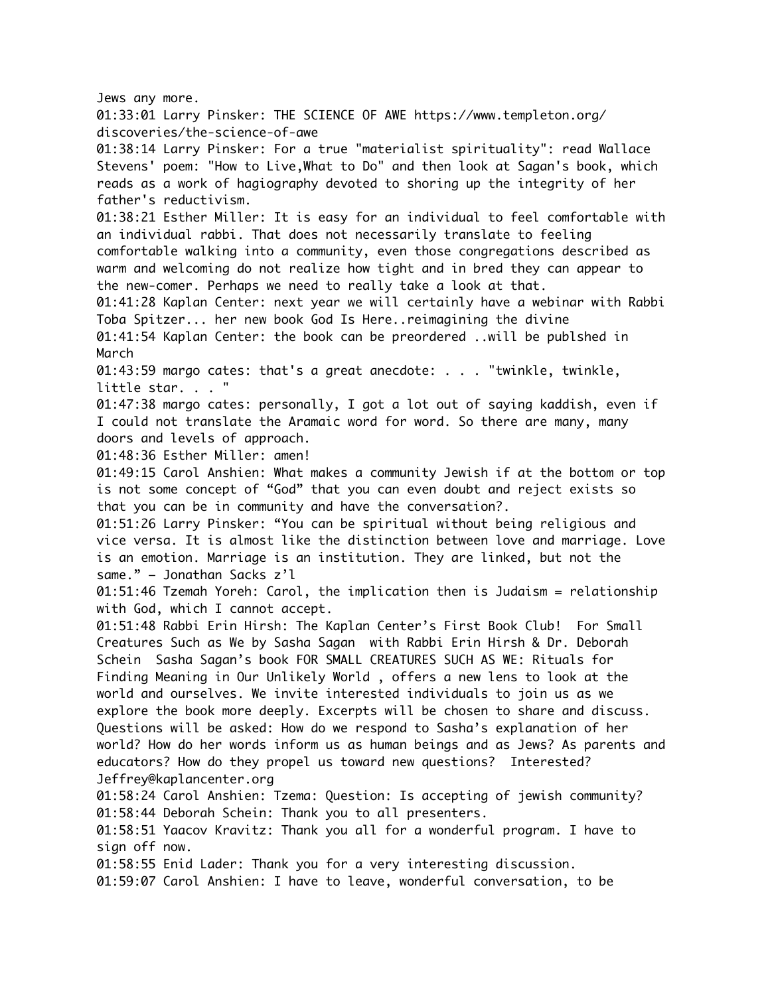Jews any more. 01:33:01 Larry Pinsker: THE SCIENCE OF AWE https://www.templeton.org/ discoveries/the-science-of-awe 01:38:14 Larry Pinsker: For a true "materialist spirituality": read Wallace Stevens' poem: "How to Live,What to Do" and then look at Sagan's book, which reads as a work of hagiography devoted to shoring up the integrity of her father's reductivism. 01:38:21 Esther Miller: It is easy for an individual to feel comfortable with an individual rabbi. That does not necessarily translate to feeling comfortable walking into a community, even those congregations described as warm and welcoming do not realize how tight and in bred they can appear to the new-comer. Perhaps we need to really take a look at that. 01:41:28 Kaplan Center: next year we will certainly have a webinar with Rabbi Toba Spitzer... her new book God Is Here..reimagining the divine 01:41:54 Kaplan Center: the book can be preordered ..will be publshed in March 01:43:59 margo cates: that's a great anecdote: . . . "twinkle, twinkle, little star. . . " 01:47:38 margo cates: personally, I got a lot out of saying kaddish, even if I could not translate the Aramaic word for word. So there are many, many doors and levels of approach. 01:48:36 Esther Miller: amen! 01:49:15 Carol Anshien: What makes a community Jewish if at the bottom or top is not some concept of "God" that you can even doubt and reject exists so that you can be in community and have the conversation?. 01:51:26 Larry Pinsker: "You can be spiritual without being religious and vice versa. It is almost like the distinction between love and marriage. Love is an emotion. Marriage is an institution. They are linked, but not the same." – Jonathan Sacks z'l 01:51:46 Tzemah Yoreh: Carol, the implication then is Judaism = relationship with God, which I cannot accept. 01:51:48 Rabbi Erin Hirsh: The Kaplan Center's First Book Club! For Small Creatures Such as We by Sasha Sagan with Rabbi Erin Hirsh & Dr. Deborah Schein Sasha Sagan's book FOR SMALL CREATURES SUCH AS WE: Rituals for Finding Meaning in Our Unlikely World , offers a new lens to look at the world and ourselves. We invite interested individuals to join us as we explore the book more deeply. Excerpts will be chosen to share and discuss. Questions will be asked: How do we respond to Sasha's explanation of her world? How do her words inform us as human beings and as Jews? As parents and educators? How do they propel us toward new questions? Interested? Jeffrey@kaplancenter.org 01:58:24 Carol Anshien: Tzema: Question: Is accepting of jewish community? 01:58:44 Deborah Schein: Thank you to all presenters. 01:58:51 Yaacov Kravitz: Thank you all for a wonderful program. I have to sign off now. 01:58:55 Enid Lader: Thank you for a very interesting discussion. 01:59:07 Carol Anshien: I have to leave, wonderful conversation, to be